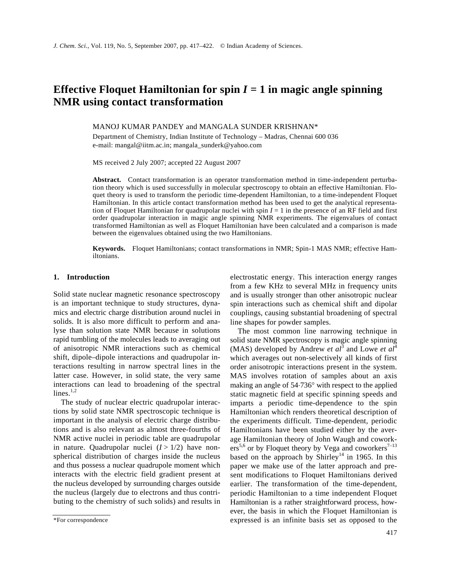# **Effective Floquet Hamiltonian for spin**  $I = 1$  **in magic angle spinning NMR using contact transformation**

MANOJ KUMAR PANDEY and MANGALA SUNDER KRISHNAN\*

Department of Chemistry, Indian Institute of Technology – Madras, Chennai 600 036 e-mail: mangal@iitm.ac.in; mangala\_sunderk@yahoo.com

MS received 2 July 2007; accepted 22 August 2007

**Abstract.** Contact transformation is an operator transformation method in time-independent perturbation theory which is used successfully in molecular spectroscopy to obtain an effective Hamiltonian. Floquet theory is used to transform the periodic time-dependent Hamiltonian, to a time-independent Floquet Hamiltonian. In this article contact transformation method has been used to get the analytical representation of Floquet Hamiltonian for quadrupolar nuclei with spin *I* = 1 in the presence of an RF field and first order quadrupolar interaction in magic angle spinning NMR experiments. The eigenvalues of contact transformed Hamiltonian as well as Floquet Hamiltonian have been calculated and a comparison is made between the eigenvalues obtained using the two Hamiltonians.

**Keywords.** Floquet Hamiltonians; contact transformations in NMR; Spin-1 MAS NMR; effective Hamiltonians.

## **1. Introduction**

Solid state nuclear magnetic resonance spectroscopy is an important technique to study structures, dynamics and electric charge distribution around nuclei in solids. It is also more difficult to perform and analyse than solution state NMR because in solutions rapid tumbling of the molecules leads to averaging out of anisotropic NMR interactions such as chemical shift, dipole–dipole interactions and quadrupolar interactions resulting in narrow spectral lines in the latter case. However, in solid state, the very same interactions can lead to broadening of the spectral lines. $1,2$ 

 The study of nuclear electric quadrupolar interactions by solid state NMR spectroscopic technique is important in the analysis of electric charge distributions and is also relevant as almost three-fourths of NMR active nuclei in periodic table are quadrupolar in nature. Quadrupolar nuclei  $(I > 1/2)$  have nonspherical distribution of charges inside the nucleus and thus possess a nuclear quadrupole moment which interacts with the electric field gradient present at the nucleus developed by surrounding charges outside the nucleus (largely due to electrons and thus contributing to the chemistry of such solids) and results in electrostatic energy. This interaction energy ranges from a few KHz to several MHz in frequency units and is usually stronger than other anisotropic nuclear spin interactions such as chemical shift and dipolar couplings, causing substantial broadening of spectral line shapes for powder samples.

 The most common line narrowing technique in solid state NMR spectroscopy is magic angle spinning (MAS) developed by Andrew *et al*<sup>3</sup> and Lowe *et al*<sup>4</sup> which averages out non-selectively all kinds of first order anisotropic interactions present in the system. MAS involves rotation of samples about an axis making an angle of 54⋅736° with respect to the applied static magnetic field at specific spinning speeds and imparts a periodic time-dependence to the spin Hamiltonian which renders theoretical description of the experiments difficult. Time-dependent, periodic Hamiltonians have been studied either by the average Hamiltonian theory of John Waugh and cowork $ers^{5,6}$  or by Floquet theory by Vega and coworkers<sup>7-13</sup> based on the approach by Shirley<sup>14</sup> in 1965. In this paper we make use of the latter approach and present modifications to Floquet Hamiltonians derived earlier. The transformation of the time-dependent, periodic Hamiltonian to a time independent Floquet Hamiltonian is a rather straightforward process, however, the basis in which the Floquet Hamiltonian is expressed is an infinite basis set as opposed to the

<sup>\*</sup>For correspondence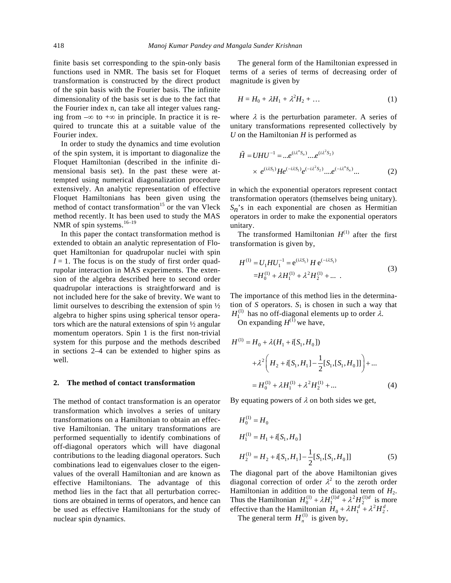finite basis set corresponding to the spin-only basis functions used in NMR. The basis set for Floquet transformation is constructed by the direct product of the spin basis with the Fourier basis. The infinite dimensionality of the basis set is due to the fact that the Fourier index n, can take all integer values ranging from  $-\infty$  to  $+\infty$  in principle. In practice it is required to truncate this at a suitable value of the Fourier index.

 In order to study the dynamics and time evolution of the spin system, it is important to diagonalize the Floquet Hamiltonian (described in the infinite dimensional basis set). In the past these were attempted using numerical diagonalization procedure extensively. An analytic representation of effective Floquet Hamiltonians has been given using the method of contact transformation<sup>15</sup> or the van Vleck method recently. It has been used to study the MAS NMR of spin systems. $16-19$ 

 In this paper the contact transformation method is extended to obtain an analytic representation of Floquet Hamiltonian for quadrupolar nuclei with spin  $I = 1$ . The focus is on the study of first order quadrupolar interaction in MAS experiments. The extension of the algebra described here to second order quadrupolar interactions is straightforward and is not included here for the sake of brevity. We want to limit ourselves to describing the extension of spin ½ algebra to higher spins using spherical tensor operators which are the natural extensions of spin ½ angular momentum operators. Spin 1 is the first non-trivial system for this purpose and the methods described in sections 2–4 can be extended to higher spins as well.

### **2. The method of contact transformation**

The method of contact transformation is an operator transformation which involves a series of unitary transformations on a Hamiltonian to obtain an effective Hamiltonian. The unitary transformations are performed sequentially to identify combinations of off-diagonal operators which will have diagonal contributions to the leading diagonal operators. Such combinations lead to eigenvalues closer to the eigenvalues of the overall Hamiltonian and are known as effective Hamiltonians. The advantage of this method lies in the fact that all perturbation corrections are obtained in terms of operators, and hence can be used as effective Hamiltonians for the study of nuclear spin dynamics.

 The general form of the Hamiltonian expressed in terms of a series of terms of decreasing order of magnitude is given by

$$
H = H_0 + \lambda H_1 + \lambda^2 H_2 + \dots \tag{1}
$$

where  $\lambda$  is the perturbation parameter. A series of unitary transformations represented collectively by *U* on the Hamiltonian *H* is performed as

$$
\tilde{H} = UHU^{-1} = ...e^{(i\lambda^n S_n)}...e^{(i\lambda^2 S_2)} \times e^{(i\lambda S_1)}He^{(-i\lambda S_1)}e^{(-i\lambda^2 S_2)}...e^{(-i\lambda^n S_n)}...
$$
(2)

in which the exponential operators represent contact transformation operators (themselves being unitary). *Sn*'s in each exponential are chosen as Hermitian operators in order to make the exponential operators unitary.

The transformed Hamiltonian  $H^{(1)}$  after the first transformation is given by,

$$
H^{(1)} = U_1 H U_1^{-1} = e^{(i\lambda S_1)} H e^{(-i\lambda S_1)}
$$
  
=
$$
H_0^{(1)} + \lambda H_1^{(1)} + \lambda^2 H_2^{(1)} + \dots
$$
 (3)

The importance of this method lies in the determination of *S* operators.  $S_1$  is chosen in such a way that  $H_1^{(1)}$  has no off-diagonal elements up to order  $\lambda$ .

On expanding  $H^{(\overline{1})}$  we have,

$$
H^{(1)} = H_0 + \lambda (H_1 + i[S_1, H_0])
$$
  
+  $\lambda^2 \left( H_2 + i[S_1, H_1] - \frac{1}{2} [S_1, [S_1, H_0]] \right) + ...$   
=  $H_0^{(1)} + \lambda H_1^{(1)} + \lambda^2 H_2^{(1)} + ...$  (4)

By equating powers of  $\lambda$  on both sides we get,

$$
H_0^{(1)} = H_0
$$
  
\n
$$
H_1^{(1)} = H_1 + i[S_1, H_0]
$$
  
\n
$$
H_2^{(1)} = H_2 + i[S_1, H_1] - \frac{1}{2}[S_1, [S_1, H_0]]
$$
\n(5)

The diagonal part of the above Hamiltonian gives diagonal correction of order  $\lambda^2$  to the zeroth order Hamiltonian in addition to the diagonal term of  $H_2$ . Thus the Hamiltonian  $H_0^{(1)} + \lambda H_1^{(1)d} + \lambda^2 H_2^{(1)d}$  is more effective than the Hamiltonian  $H_0 + \lambda H_1^d + \lambda^2 H_2^d$ .

The general term  $H_n^{(1)}$  is given by,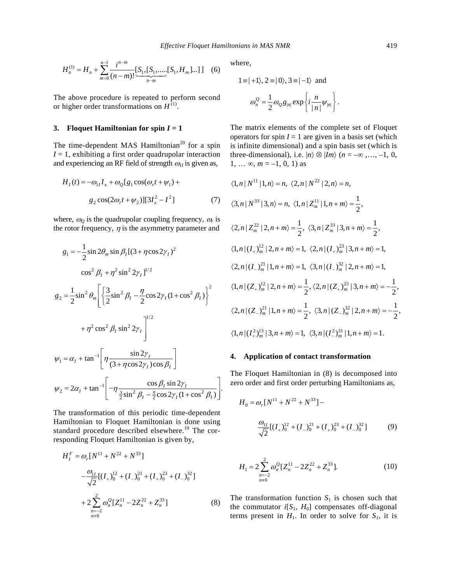$$
H_n^{(1)} = H_n + \sum_{m=0}^{n-1} \frac{i^{n-m}}{(n-m)!} \underbrace{[S_1, [S_1, \dots, [S_1, H_m] \dots]}_{n-m} \tag{6}
$$

The above procedure is repeated to perform second or higher order transformations on  $H^{(1)}$ .

## **3. Floquet Hamiltonian for spin**  $I = 1$

The time-dependent MAS Hamiltonian<sup>20</sup> for a spin  $I = 1$ , exhibiting a first order quadrupolar interaction and experiencing an RF field of strength  $\omega_{II}$  is given as,

$$
H_{I}(t) = -\omega_{1I}I_{x} + \omega_{Q}[g_{1}\cos(\omega_{r}t + \psi_{1}) +
$$

$$
g_{2}\cos(2\omega_{r}t + \psi_{2})][3I_{z}^{2} - I^{2}]
$$
 (7)

where,  $\omega_Q$  is the quadrupolar coupling frequency,  $\omega_r$  is the rotor frequency,  $\eta$  is the asymmetry parameter and

$$
g_{1} = -\frac{1}{2}\sin 2\theta_{m} \sin \beta_{I} [(3 + \eta \cos 2\gamma_{I})^{2}
$$
  
\n
$$
\cos^{2} \beta_{I} + \eta^{2} \sin^{2} 2\gamma_{I}^{1/2}
$$
  
\n
$$
g_{2} = \frac{1}{2}\sin^{2} \theta_{m} \left[ \left\{ \frac{3}{2}\sin^{2} \beta_{I} - \frac{\eta}{2}\cos 2\gamma_{I} (1 + \cos^{2} \beta_{I}) \right\}^{2} + \eta^{2} \cos^{2} \beta_{I} \sin^{2} 2\gamma_{I} \right]^{1/2}
$$
  
\n
$$
\psi_{1} = \alpha_{I} + \tan^{-1} \left[ \eta \frac{\sin 2\gamma_{I}}{(3 + \eta \cos 2\gamma_{I})\cos \beta_{I}} \right]
$$
  
\n
$$
\psi_{2} = 2\alpha_{I} + \tan^{-1} \left[ -\eta \frac{\cos \beta_{I} \sin 2\gamma_{I}}{\frac{3}{2}\sin^{2} \beta_{I} - \frac{\eta}{2}\cos 2\gamma_{I} (1 + \cos^{2} \beta_{I})} \right].
$$

The transformation of this periodic time-dependent Hamiltonian to Floquet Hamiltonian is done using standard procedure described elsewhere.<sup>10</sup> The corresponding Floquet Hamiltonian is given by,

$$
H_I^F = \omega_r [N^{11} + N^{22} + N^{33}]
$$
  

$$
-\frac{\omega_{1I}}{\sqrt{2}} [(I_+)_0^{12} + (I_-)_0^{21} + (I_+)_0^{23} + (I_-)_0^{32}]
$$
  

$$
+ 2 \sum_{\substack{n=-2\\n \neq 0}}^2 \omega_n^Q [Z_n^{11} - 2Z_n^{22} + Z_n^{33}]
$$
 (8)

where,

$$
1 = | +1 \rangle, 2 = | 0 \rangle, 3 = | -1 \rangle \text{ and}
$$

$$
\omega_n^Q = \frac{1}{2} \omega_Q g_{|n|} \exp \left\{ i \frac{n}{|n|} \psi_{|n|} \right\}.
$$

The matrix elements of the complete set of Floquet operators for spin  $I = 1$  are given in a basis set (which is infinite dimensional) and a spin basis set (which is three-dimensional), i.e.  $|n\rangle \otimes |Im\rangle$  ( $n = -\infty$ ,..., -1, 0,  $1, \ldots \infty, m = -1, 0, 1$  as

$$
\langle 1, n | N^{11} | 1, n \rangle = n, \ \langle 2, n | N^{22} | 2, n \rangle = n,
$$
  

$$
\langle 3, n | N^{33} | 3, n \rangle = n, \ \langle 1, n | Z_m^{11} | 1, n + m \rangle = \frac{1}{2},
$$
  

$$
\langle 2, n | Z_m^{22} | 2, n + m \rangle = \frac{1}{2}, \ \langle 3, n | Z_m^{33} | 3, n + m \rangle = \frac{1}{2},
$$
  

$$
\langle 1, n | (I_+)_{m}^{12} | 2, n + m \rangle = 1, \ \langle 2, n | (I_+)_{m}^{23} | 3, n + m \rangle = 1,
$$
  

$$
\langle 2, n | (I_-)_{m}^{21} | 1, n + m \rangle = 1, \ \langle 3, n | (I_-)_{m}^{32} | 2, n + m \rangle = 1,
$$
  

$$
\langle 1, n | (Z_+)_{m}^{12} | 2, n + m \rangle = \frac{1}{2}, \ \langle 2, n | (Z_+)_{m}^{23} | 3, n + m \rangle = -\frac{1}{2},
$$
  

$$
\langle 2, n | (Z_-)_{m}^{21} | 1, n + m \rangle = \frac{1}{2}, \ \langle 3, n | (Z_-)_{m}^{32} | 2, n + m \rangle = -\frac{1}{2},
$$
  

$$
\langle 1, n | (I_+^{2})_{m}^{13} | 3, n + m \rangle = 1, \ \langle 3, n | (I_-^{2})_{m}^{31} | 1, n + m \rangle = 1.
$$

## **4. Application of contact transformation**

The Floquet Hamiltonian in (8) is decomposed into zero order and first order perturbing Hamiltonians as,

$$
H_0 = \omega_r [N^{11} + N^{22} + N^{33}] -
$$
  

$$
\frac{\omega_{1I}}{\sqrt{2}} [(I_+)^{12} + (I_-)^{21} + (I_+)^{23} + (I_-)^{32}].
$$
 (9)

$$
H_1 = 2\sum_{\substack{n=-2\\n\neq 0}}^2 \omega_n^{\mathcal{Q}} [Z_n^{11} - 2Z_n^{22} + Z_n^{33}].
$$
 (10)

The transformation function  $S_1$  is chosen such that the commutator  $i[S_1, H_0]$  compensates off-diagonal terms present in  $H_1$ . In order to solve for  $S_1$ , it is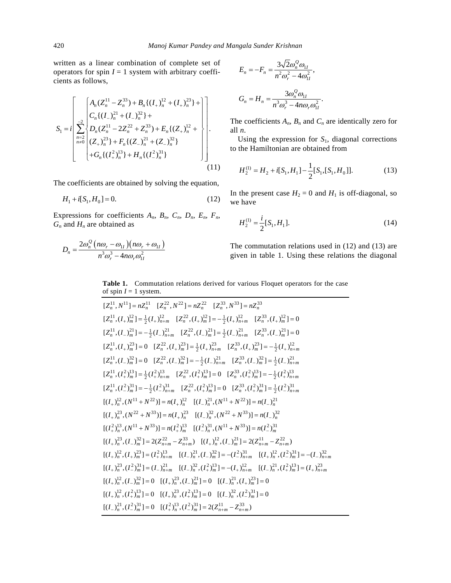written as a linear combination of complete set of operators for spin  $I = 1$  system with arbitrary coefficients as follows,

$$
S_{1} = i \left[ \frac{A_{n}(Z_{n}^{11} - Z_{n}^{33}) + B_{n}\{(I_{+})_{n}^{12} + (I_{+})_{n}^{23}\} + \cdots + \left[ C_{n}\{(I_{-})_{n}^{21} + (I_{-})_{n}^{32}\} + C_{n}\{(Z_{n}^{11} - 2Z_{n}^{22} + Z_{n}^{33}) + E_{n}\{(Z_{+})_{n}^{12} + \cdots + C_{n}^{12}\} + \cdots + C_{n}\{(I_{+})_{n}^{23}\} + H_{n}\{(I_{-})_{n}^{21}\} + H_{n}\{(I_{-})_{n}^{31}\}
$$
\n(11)

The coefficients are obtained by solving the equation,

$$
H_1 + i[S_1, H_0] = 0. \tag{12}
$$

Expressions for coefficients *An*, *Bn*, *Cn*, *Dn*, *En*, *Fn*, *Gn* and *Hn* are obtained as

$$
D_n = \frac{2\omega_n^Q \left(n\omega_r - \omega_{1I}\right) \left(n\omega_r + \omega_{1I}\right)}{n^3 \omega_r^3 - 4n\omega_r \omega_{1I}^2}
$$

$$
E_n = -F_n = \frac{3\sqrt{2}\omega_n^Q \omega_{1I}}{n^2 \omega_r^2 - 4\omega_{1I}^2},
$$
  

$$
G_n = H_n = \frac{3\omega_n^Q \omega_{1I}}{n^3 \omega_r^3 - 4n\omega_r \omega_{1I}^2}.
$$

The coefficients  $A_n$ ,  $B_n$  and  $C_n$  are identically zero for all *n*.

 Using the expression for *S*1, diagonal corrections to the Hamiltonian are obtained from

$$
H_2^{(1)} = H_2 + i[S_1, H_1] - \frac{1}{2}[S_1, [S_1, H_0]].
$$
 (13)

In the present case  $H_2 = 0$  and  $H_1$  is off-diagonal, so we have

$$
H_2^{(1)} = \frac{i}{2} [S_1, H_1].
$$
 (14)

The commutation relations used in (12) and (13) are given in table 1. Using these relations the diagonal

# **Table 1.** Commutation relations derived for various Floquet operators for the case of spin  $I = 1$  system.

$$
[Z_n^{11}, N^{11}] = nZ_n^{11} \quad [Z_n^{22}, N^{22}] = nZ_n^{22} \quad [Z_n^{33}, N^{33}] = nZ_n^{33}
$$
\n
$$
[Z_n^{11}, (I_+)_{m}^{12}] = \frac{1}{2}(I_+)_{n+m}^{12} \quad [Z_n^{22}, (I_+)_{m}^{12}] = -\frac{1}{2}(I_+)_{n+m}^{12} \quad [Z_n^{33}, (I_+)_{m}^{12}] = 0
$$
\n
$$
[Z_n^{11}, (I_-)^{21}] = -\frac{1}{2}(I_-)^{21}_{n+m} \quad [Z_n^{22}, (I_-)^{21}] = \frac{1}{2}(I_-)^{21}_{n+m} \quad [Z_n^{33}, (I_-)^{21}] = 0
$$
\n
$$
[Z_n^{11}, (I_-)^{2n}] = 0 \quad [Z_n^{22}, (I_+)_{m}^{23}] = \frac{1}{2}(I_+)^{21}_{n+m} \quad [Z_n^{33}, (I_-)^{2n}] = -\frac{1}{2}(I_+)^{12}_{n+m}
$$
\n
$$
[Z_n^{11}, (I_-)^{32}] = 0 \quad [Z_n^{22}, (I_-)^{32}] = -\frac{1}{2}(I_-)^{21}_{n+m} \quad [Z_n^{33}, (I_-)^{32}] = \frac{1}{2}(I_-)^{21}_{n+m}
$$
\n
$$
[Z_n^{11}, (I_-^2)^{13} = \frac{1}{2}(I_+^2)^{13}_{n+m} \quad [Z_n^{22}, (I_+^2)^{13} = 0 \quad [Z_n^{33}, (I_+^2)^{13} = -\frac{1}{2}(I_+^2)^{13}_{n+m}
$$
\n
$$
[Z_n^{11}, (I_-^2)^{31} = -\frac{1}{2}(I_-^2)^{31}_{n+m} \quad [Z_n^{22}, (I_+^2)^{13} = 0 \quad [Z_n^{33}, (I_+^2)^{31} = -\frac{1}{2}(I_+^2)^{13}_{n+m}
$$
\n
$$
[(I_+)^{12}, (I_-)^{31}] = -\frac{1}{2}(I_-^2)^{31}_{n+m} \quad [Z_n^{12}, (I_-)^{
$$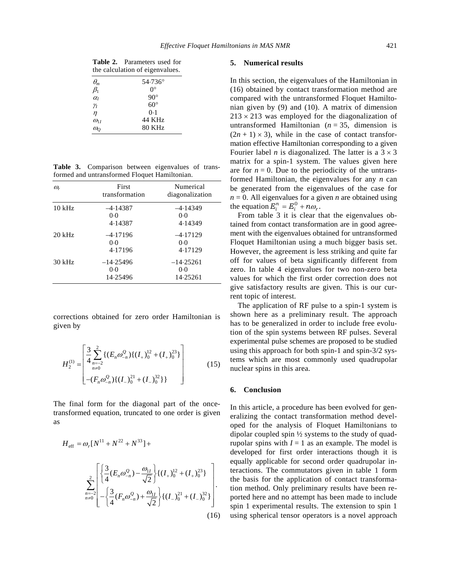|                                 | <b>Table 2.</b> Parameters used for |  |  |  |  |  |
|---------------------------------|-------------------------------------|--|--|--|--|--|
| the calculation of eigenvalues. |                                     |  |  |  |  |  |
| $\theta_m$                      | $54.736^{\circ}$                    |  |  |  |  |  |
| $\beta_1$                       | $\Omega^{\circ}$                    |  |  |  |  |  |
| $\alpha_l$                      | $90^\circ$                          |  |  |  |  |  |
|                                 |                                     |  |  |  |  |  |

| $\beta_1$  | $\mathsf{U}^{\vee}$ |  |
|------------|---------------------|--|
| $\alpha_I$ | $90^{\circ}$        |  |
| Υı         | $60^{\circ}$        |  |
| $\eta$     | 0.1                 |  |
| $Q_{1I}$   | 44 KHz              |  |

 $\omega$ <sup>2</sup> 80 KHz

**Table 3.** Comparison between eigenvalues of transformed and untransformed Floquet Hamiltonian.

| $\omega_{r}$ | First<br>transformation          | Numerical<br>diagonalization   |
|--------------|----------------------------------|--------------------------------|
| $10$ kHz     | $-4.14387$<br>0.0<br>4.14387     | $-4.14349$<br>0.0<br>4.14349   |
| $20$ kHz     | $-4.17196$<br>0.0<br>4.17196     | $-4.17129$<br>0.0<br>4.17129   |
| $30$ kHz     | $-14.25496$<br>$0-0$<br>14.25496 | $-14.25261$<br>0.0<br>14.25261 |

corrections obtained for zero order Hamiltonian is given by

$$
H_2^{(1)} = \begin{bmatrix} \frac{3}{4} \sum_{n=-2}^{2} \{ (E_n \omega_{-n}^{\mathcal{Q}}) \{ (I_+)_0^{12} + (I_+)_0^{23} \} \\ n \neq 0 \end{bmatrix} - (F_n \omega_{-n}^{\mathcal{Q}}) \{ (I_-)_0^{21} + (I_-)_0^{32} \} \}
$$
(15)

The final form for the diagonal part of the oncetransformed equation, truncated to one order is given as

$$
H_{\text{eff}} = \omega_r [N^{11} + N^{22} + N^{33}] +
$$
  

$$
\sum_{n=-2}^{2} \left[ \frac{3}{4} (E_n \omega_{-n}^Q) - \frac{\omega_{1I}}{\sqrt{2}} \right] \{ (I_+)_0^{12} + (I_+)_0^{23} \}
$$
  

$$
\sum_{n=2}^{2} \left[ -\frac{3}{4} (F_n \omega_{-n}^Q) + \frac{\omega_{1I}}{\sqrt{2}} \right] \{ (I_-)_0^{21} + (I_-)_0^{32} \}
$$
  
(16)

#### **5. Numerical results**

In this section, the eigenvalues of the Hamiltonian in (16) obtained by contact transformation method are compared with the untransformed Floquet Hamiltonian given by (9) and (10). A matrix of dimension  $213 \times 213$  was employed for the diagonalization of untransformed Hamiltonian  $(n = 35,$  dimension is  $(2n + 1) \times 3$ , while in the case of contact transformation effective Hamiltonian corresponding to a given Fourier label *n* is diagonalized. The latter is a  $3 \times 3$ matrix for a spin-1 system. The values given here are for  $n = 0$ . Due to the periodicity of the untransformed Hamiltonian, the eigenvalues for any *n* can be generated from the eigenvalues of the case for  $n = 0$ . All eigenvalues for a given *n* are obtained using the equation  $E_i^n = E_i^0 + n\omega_r$ .

 From table 3 it is clear that the eigenvalues obtained from contact transformation are in good agreement with the eigenvalues obtained for untransformed Floquet Hamiltonian using a much bigger basis set. However, the agreement is less striking and quite far off for values of beta significantly different from zero. In table 4 eigenvalues for two non-zero beta values for which the first order correction does not give satisfactory results are given. This is our current topic of interest.

 The application of RF pulse to a spin-1 system is shown here as a preliminary result. The approach has to be generalized in order to include free evolution of the spin systems between RF pulses. Several experimental pulse schemes are proposed to be studied using this approach for both spin-1 and spin-3/2 systems which are most commonly used quadrupolar nuclear spins in this area.

## **6. Conclusion**

In this article, a procedure has been evolved for generalizing the contact transformation method developed for the analysis of Floquet Hamiltonians to dipolar coupled spin ½ systems to the study of quadrupolar spins with  $I = 1$  as an example. The model is developed for first order interactions though it is equally applicable for second order quadrupolar interactions. The commutators given in table 1 form the basis for the application of contact transformation method. Only preliminary results have been reported here and no attempt has been made to include spin 1 experimental results. The extension to spin 1 using spherical tensor operators is a novel approach